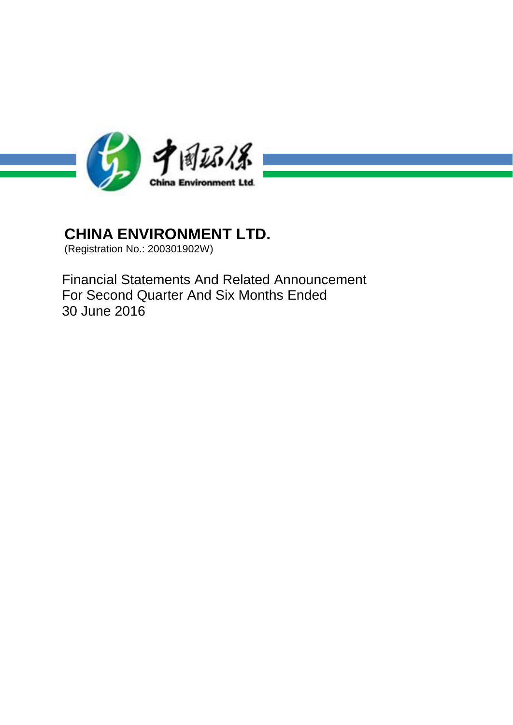

(Registration No.: 200301902W)

Financial Statements And Related Announcement For Second Quarter And Six Months Ended 30 June 2016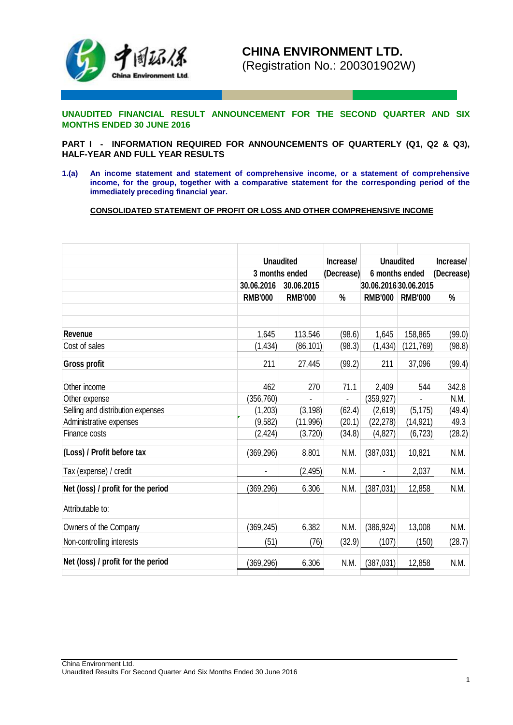

**UNAUDITED FINANCIAL RESULT ANNOUNCEMENT FOR THE SECOND QUARTER AND SIX MONTHS ENDED 30 JUNE 2016**

**PART I - INFORMATION REQUIRED FOR ANNOUNCEMENTS OF QUARTERLY (Q1, Q2 & Q3), HALF-YEAR AND FULL YEAR RESULTS**

**1.(a) An income statement and statement of comprehensive income, or a statement of comprehensive income, for the group, together with a comparative statement for the corresponding period of the immediately preceding financial year.**

**CONSOLIDATED STATEMENT OF PROFIT OR LOSS AND OTHER COMPREHENSIVE INCOME**

|                                    |                | <b>Unaudited</b> | Increase/                    |                | <b>Unaudited</b>      | Increase/  |
|------------------------------------|----------------|------------------|------------------------------|----------------|-----------------------|------------|
|                                    |                | 3 months ended   | (Decrease)                   | 6 months ended |                       | (Decrease) |
|                                    | 30.06.2016     | 30.06.2015       |                              |                | 30.06.2016 30.06.2015 |            |
|                                    | <b>RMB'000</b> | <b>RMB'000</b>   | $\frac{0}{0}$                | <b>RMB'000</b> | <b>RMB'000</b>        | $\%$       |
|                                    |                |                  |                              |                |                       |            |
|                                    |                |                  |                              |                |                       |            |
| Revenue                            | 1,645          | 113,546          | (98.6)                       | 1,645          | 158,865               | (99.0)     |
| Cost of sales                      | (1, 434)       | (86, 101)        | (98.3)                       | (1, 434)       | (121, 769)            | (98.8)     |
| <b>Gross profit</b>                | 211            | 27,445           | (99.2)                       | 211            | 37,096                | (99.4)     |
| Other income                       | 462            | 270              | 71.1                         | 2,409          | 544                   | 342.8      |
| Other expense                      | (356, 760)     |                  | $\qquad \qquad \blacksquare$ | (359, 927)     |                       | N.M.       |
| Selling and distribution expenses  | (1,203)        | (3, 198)         | (62.4)                       | (2,619)        | (5, 175)              | (49.4)     |
| Administrative expenses            | (9, 582)       | (11,996)         | (20.1)                       | (22, 278)      | (14, 921)             | 49.3       |
| Finance costs                      | (2, 424)       | (3, 720)         | (34.8)                       | (4, 827)       | (6, 723)              | (28.2)     |
| (Loss) / Profit before tax         | (369, 296)     | 8,801            | N.M.                         | (387, 031)     | 10,821                | N.M.       |
| Tax (expense) / credit             |                | (2, 495)         | N.M.                         | $\blacksquare$ | 2,037                 | N.M.       |
| Net (loss) / profit for the period | (369, 296)     | 6,306            | N.M.                         | (387, 031)     | 12,858                | N.M.       |
| Attributable to:                   |                |                  |                              |                |                       |            |
| Owners of the Company              | (369, 245)     | 6,382            | N.M.                         | (386, 924)     | 13,008                | N.M.       |
| Non-controlling interests          | (51)           | (76)             | (32.9)                       | (107)          | (150)                 | (28.7)     |
| Net (loss) / profit for the period | (369, 296)     | 6,306            | N.M.                         | (387, 031)     | 12,858                | N.M.       |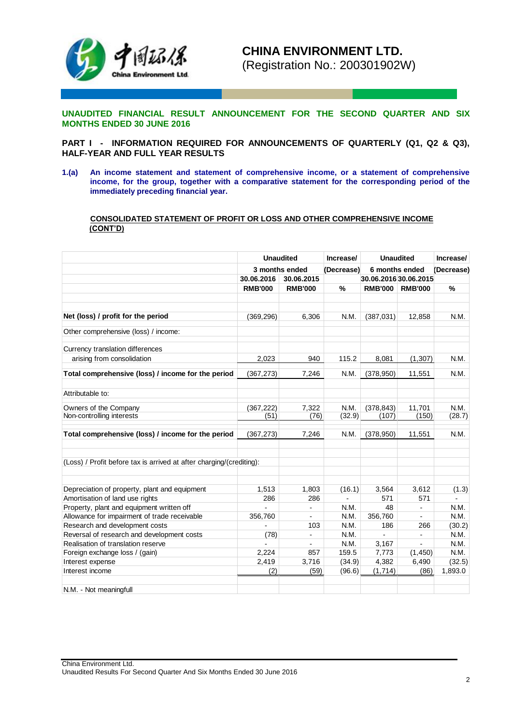

**UNAUDITED FINANCIAL RESULT ANNOUNCEMENT FOR THE SECOND QUARTER AND SIX MONTHS ENDED 30 JUNE 2016**

**PART I - INFORMATION REQUIRED FOR ANNOUNCEMENTS OF QUARTERLY (Q1, Q2 & Q3), HALF-YEAR AND FULL YEAR RESULTS**

**1.(a) An income statement and statement of comprehensive income, or a statement of comprehensive income, for the group, together with a comparative statement for the corresponding period of the immediately preceding financial year.**

### **CONSOLIDATED STATEMENT OF PROFIT OR LOSS AND OTHER COMPREHENSIVE INCOME (CONT'D)**

|                                                                      | <b>Unaudited</b> |                | Increase/  | <b>Unaudited</b>      |                          | Increase/  |
|----------------------------------------------------------------------|------------------|----------------|------------|-----------------------|--------------------------|------------|
|                                                                      |                  | 3 months ended | (Decrease) |                       | 6 months ended           | (Decrease) |
|                                                                      | 30.06.2016       | 30.06.2015     |            | 30.06.2016 30.06.2015 |                          |            |
|                                                                      | <b>RMB'000</b>   | <b>RMB'000</b> | $\%$       | <b>RMB'000</b>        | <b>RMB'000</b>           | $\%$       |
|                                                                      |                  |                |            |                       |                          |            |
|                                                                      |                  |                |            |                       |                          |            |
| Net (loss) / profit for the period                                   | (369, 296)       | 6,306          | N.M.       | (387,031)             | 12,858                   | N.M.       |
| Other comprehensive (loss) / income:                                 |                  |                |            |                       |                          |            |
| Currency translation differences                                     |                  |                |            |                       |                          |            |
| arising from consolidation                                           | 2,023            | 940            | 115.2      | 8,081                 | (1, 307)                 | N.M.       |
| Total comprehensive (loss) / income for the period                   | (367, 273)       | 7,246          | N.M.       | (378, 950)            | 11,551                   | N.M.       |
| Attributable to:                                                     |                  |                |            |                       |                          |            |
| Owners of the Company                                                | (367, 222)       | 7,322          | N.M.       | (378, 843)            | 11,701                   | N.M.       |
| Non-controlling interests                                            | (51)             | (76)           | (32.9)     | (107)                 | (150)                    | (28.7)     |
| Total comprehensive (loss) / income for the period                   | (367, 273)       | 7,246          | N.M.       | (378, 950)            | 11,551                   | N.M.       |
| (Loss) / Profit before tax is arrived at after charging/(crediting): |                  |                |            |                       |                          |            |
| Depreciation of property, plant and equipment                        | 1,513            | 1,803          | (16.1)     | 3,564                 | 3,612                    | (1.3)      |
| Amortisation of land use rights                                      | 286              | 286            |            | 571                   | 571                      |            |
| Property, plant and equipment written off                            |                  | $\blacksquare$ | N.M.       | 48                    |                          | N.M.       |
| Allowance for impairment of trade receivable                         | 356,760          |                | N.M.       | 356,760               |                          | N.M.       |
| Research and development costs                                       |                  | 103            | N.M.       | 186                   | 266                      | (30.2)     |
| Reversal of research and development costs                           | (78)             | $\overline{a}$ | N.M.       |                       | $\overline{\phantom{a}}$ | N.M.       |
| Realisation of translation reserve                                   |                  |                | N.M.       | 3,167                 |                          | N.M.       |
| Foreign exchange loss / (gain)                                       | 2,224            | 857            | 159.5      | 7,773                 | (1, 450)                 | N.M.       |
| Interest expense                                                     | 2,419            | 3,716          | (34.9)     | 4,382                 | 6,490                    | (32.5)     |
| Interest income                                                      | (2)              | (59)           | (96.6)     | (1, 714)              | (86)                     | 1,893.0    |
| N.M. - Not meaningfull                                               |                  |                |            |                       |                          |            |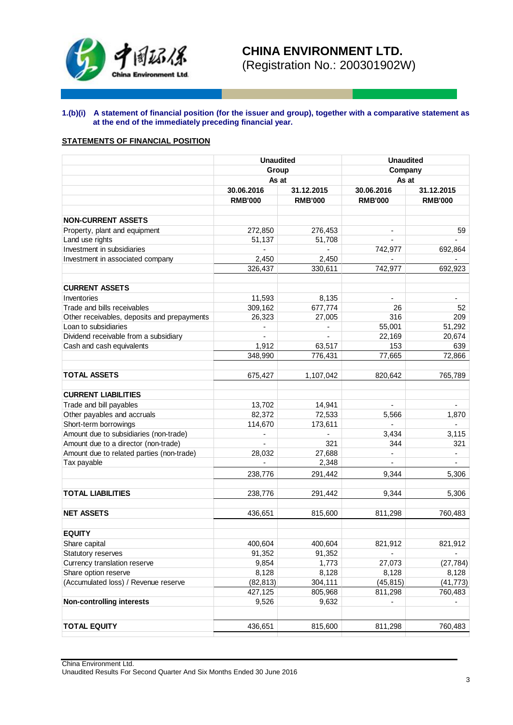

## **1.(b)(i) A statement of financial position (for the issuer and group), together with a comparative statement as at the end of the immediately preceding financial year.**

## **STATEMENTS OF FINANCIAL POSITION**

|                                                  | <b>Unaudited</b> |                          | <b>Unaudited</b> |                          |  |
|--------------------------------------------------|------------------|--------------------------|------------------|--------------------------|--|
|                                                  | Group            |                          | Company<br>As at |                          |  |
|                                                  | As at            |                          |                  |                          |  |
|                                                  | 30.06.2016       | 31.12.2015               | 30.06.2016       | 31.12.2015               |  |
|                                                  | <b>RMB'000</b>   | <b>RMB'000</b>           | <b>RMB'000</b>   | <b>RMB'000</b>           |  |
| <b>NON-CURRENT ASSETS</b>                        |                  |                          |                  |                          |  |
|                                                  | 272,850          | 276,453                  |                  | 59                       |  |
| Property, plant and equipment<br>Land use rights |                  |                          | $\blacksquare$   | ÷.                       |  |
| Investment in subsidiaries                       | 51,137<br>÷,     | 51,708<br>÷,             | 742,977          | 692,864                  |  |
| Investment in associated company                 | 2,450            | 2,450                    |                  |                          |  |
|                                                  | 326,437          | 330,611                  | 742,977          | 692,923                  |  |
|                                                  |                  |                          |                  |                          |  |
| <b>CURRENT ASSETS</b>                            |                  |                          |                  |                          |  |
| Inventories                                      | 11,593           | 8,135                    |                  |                          |  |
| Trade and bills receivables                      | 309,162          | 677,774                  | 26               | 52                       |  |
| Other receivables, deposits and prepayments      | 26,323           | 27,005                   | 316              | 209                      |  |
| Loan to subsidiaries                             | $\blacksquare$   | $\overline{\phantom{a}}$ | 55,001           | 51,292                   |  |
| Dividend receivable from a subsidiary            |                  |                          | 22,169           | 20,674                   |  |
| Cash and cash equivalents                        | 1,912            | 63,517                   | 153              | 639                      |  |
|                                                  | 348,990          | 776,431                  | 77,665           | 72,866                   |  |
|                                                  |                  |                          |                  |                          |  |
| <b>TOTAL ASSETS</b>                              | 675,427          | 1,107,042                | 820,642          | 765,789                  |  |
| <b>CURRENT LIABILITIES</b>                       |                  |                          |                  |                          |  |
| Trade and bill payables                          | 13,702           | 14,941                   | $\blacksquare$   | ÷.                       |  |
| Other payables and accruals                      | 82,372           | 72,533                   | 5,566            | 1,870                    |  |
| Short-term borrowings                            | 114,670          | 173,611                  | ÷,               |                          |  |
| Amount due to subsidiaries (non-trade)           | ٠                | $\blacksquare$           | 3,434            | 3,115                    |  |
| Amount due to a director (non-trade)             |                  | 321                      | 344              | 321                      |  |
| Amount due to related parties (non-trade)        | 28,032           | 27,688                   | $\blacksquare$   | $\overline{\phantom{a}}$ |  |
| Tax payable                                      |                  | 2,348                    | ÷.               | ÷.                       |  |
|                                                  | 238,776          | 291,442                  | 9,344            | 5,306                    |  |
|                                                  |                  |                          |                  |                          |  |
| <b>TOTAL LIABILITIES</b>                         | 238,776          | 291,442                  | 9,344            | 5,306                    |  |
| <b>NET ASSETS</b>                                |                  |                          |                  |                          |  |
|                                                  | 436,651          | 815,600                  | 811,298          | 760,483                  |  |
| <b>EQUITY</b>                                    |                  |                          |                  |                          |  |
| Share capital                                    | 400,604          | 400,604                  | 821,912          | 821,912                  |  |
| Statutory reserves                               | 91,352           | 91,352                   |                  |                          |  |
| Currency translation reserve                     | 9,854            | 1,773                    | 27,073           | (27, 784)                |  |
| Share option reserve                             | 8,128            | 8,128                    | 8,128            | 8,128                    |  |
| (Accumulated loss) / Revenue reserve             | (82, 813)        | 304,111                  | (45, 815)        | (41, 773)                |  |
|                                                  | 427,125          | 805,968                  | 811,298          | 760,483                  |  |
| <b>Non-controlling interests</b>                 | 9,526            | 9,632                    |                  |                          |  |
|                                                  |                  |                          |                  |                          |  |
| <b>TOTAL EQUITY</b>                              | 436,651          | 815,600                  | 811,298          | 760,483                  |  |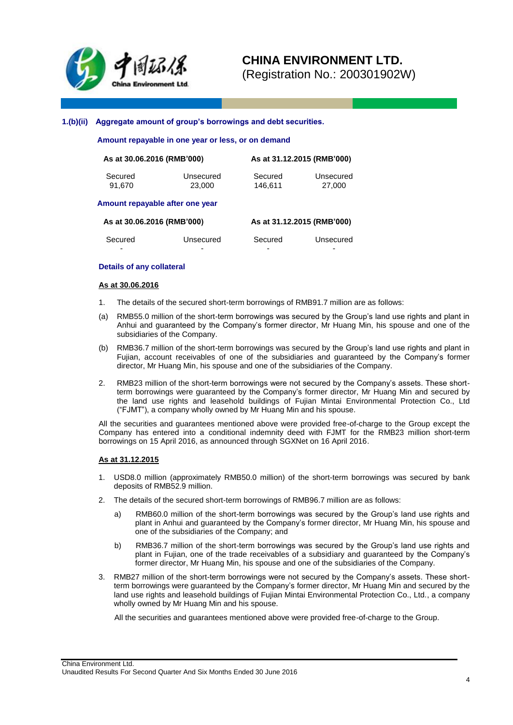

(Registration No.: 200301902W)

#### **1.(b)(ii) Aggregate amount of group's borrowings and debt securities.**

 **Amount repayable in one year or less, or on demand**

| As at 30.06.2016 (RMB'000) |           | As at 31.12.2015 (RMB'000) |           |  |  |  |
|----------------------------|-----------|----------------------------|-----------|--|--|--|
| Secured                    | Unsecured | Secured                    | Unsecured |  |  |  |
| 91.670                     | 23,000    | 146.611                    | 27.000    |  |  |  |

#### **Amount repayable after one year**

| As at 30.06.2016 (RMB'000) |           | As at 31.12.2015 (RMB'000) |           |  |  |  |
|----------------------------|-----------|----------------------------|-----------|--|--|--|
| Secured                    | Unsecured | Secured                    | Unsecured |  |  |  |
| -                          | -         | -                          | -         |  |  |  |

#### **Details of any collateral**

#### **As at 30.06.2016**

- 1. The details of the secured short-term borrowings of RMB91.7 million are as follows:
- (a) RMB55.0 million of the short-term borrowings was secured by the Group's land use rights and plant in Anhui and guaranteed by the Company's former director, Mr Huang Min, his spouse and one of the subsidiaries of the Company.
- (b) RMB36.7 million of the short-term borrowings was secured by the Group's land use rights and plant in Fujian, account receivables of one of the subsidiaries and guaranteed by the Company's former director, Mr Huang Min, his spouse and one of the subsidiaries of the Company.
- 2. RMB23 million of the short-term borrowings were not secured by the Company's assets. These shortterm borrowings were guaranteed by the Company's former director, Mr Huang Min and secured by the land use rights and leasehold buildings of Fujian Mintai Environmental Protection Co., Ltd ("FJMT"), a company wholly owned by Mr Huang Min and his spouse.

All the securities and guarantees mentioned above were provided free-of-charge to the Group except the Company has entered into a conditional indemnity deed with FJMT for the RMB23 million short-term borrowings on 15 April 2016, as announced through SGXNet on 16 April 2016.

#### **As at 31.12.2015**

- 1. USD8.0 million (approximately RMB50.0 million) of the short-term borrowings was secured by bank deposits of RMB52.9 million.
- 2. The details of the secured short-term borrowings of RMB96.7 million are as follows:
	- a) RMB60.0 million of the short-term borrowings was secured by the Group's land use rights and plant in Anhui and guaranteed by the Company's former director, Mr Huang Min, his spouse and one of the subsidiaries of the Company; and
	- b) RMB36.7 million of the short-term borrowings was secured by the Group's land use rights and plant in Fujian, one of the trade receivables of a subsidiary and guaranteed by the Company's former director, Mr Huang Min, his spouse and one of the subsidiaries of the Company.
- 3. RMB27 million of the short-term borrowings were not secured by the Company's assets. These shortterm borrowings were guaranteed by the Company's former director, Mr Huang Min and secured by the land use rights and leasehold buildings of Fujian Mintai Environmental Protection Co., Ltd., a company wholly owned by Mr Huang Min and his spouse.

All the securities and guarantees mentioned above were provided free-of-charge to the Group.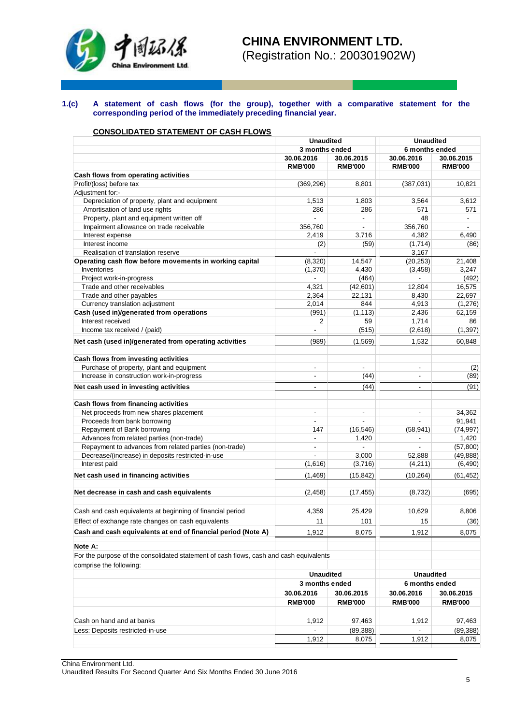

(Registration No.: 200301902W)

#### **1.(c) A statement of cash flows (for the group), together with a comparative statement for the corresponding period of the immediately preceding financial year.**

## **CONSOLIDATED STATEMENT OF CASH FLOWS**

|                                                                                        | <b>Unaudited</b>                 |                | <b>Unaudited</b>         |                |  |
|----------------------------------------------------------------------------------------|----------------------------------|----------------|--------------------------|----------------|--|
|                                                                                        | 3 months ended                   |                | 6 months ended           |                |  |
|                                                                                        | 30.06.2016                       | 30.06.2015     | 30.06.2016               | 30.06.2015     |  |
|                                                                                        | <b>RMB'000</b>                   | <b>RMB'000</b> | <b>RMB'000</b>           | <b>RMB'000</b> |  |
| Cash flows from operating activities                                                   |                                  |                |                          |                |  |
| Profit/(loss) before tax                                                               | (369, 296)                       | 8,801          | (387,031)                | 10,821         |  |
| Adjustment for:-                                                                       |                                  |                |                          |                |  |
| Depreciation of property, plant and equipment                                          | 1,513                            | 1,803          | 3,564                    | 3,612          |  |
| Amortisation of land use rights                                                        | 286                              | 286            | 571                      | 571            |  |
| Property, plant and equipment written off                                              |                                  | $\blacksquare$ | 48                       |                |  |
| Impairment allowance on trade receivable                                               | 356,760                          |                | 356,760                  | ÷.             |  |
| Interest expense                                                                       | 2,419                            | 3.716          | 4,382                    | 6,490          |  |
| Interest income                                                                        | (2)                              | (59)           | (1,714)                  | (86)           |  |
| Realisation of translation reserve                                                     | $\overline{a}$                   |                | 3,167                    |                |  |
| Operating cash flow before movements in working capital                                | (8,320)                          | 14,547         | (20, 253)                | 21,408         |  |
| Inventories                                                                            | (1,370)                          | 4,430          | (3, 458)                 | 3,247          |  |
| Project work-in-progress                                                               |                                  | (464)          |                          | (492)          |  |
| Trade and other receivables                                                            | 4,321                            | (42,601)       | 12,804                   | 16,575         |  |
| Trade and other payables                                                               | 2,364                            | 22,131         | 8,430                    | 22,697         |  |
|                                                                                        |                                  |                |                          |                |  |
| Currency translation adjustment<br>Cash (used in)/generated from operations            | 2,014                            | 844            | 4,913                    | (1,276)        |  |
|                                                                                        | (991)                            | (1, 113)       | 2,436                    | 62,159         |  |
| Interest received                                                                      | $\overline{2}$<br>$\overline{a}$ | 59             | 1,714                    | 86             |  |
| Income tax received / (paid)                                                           |                                  | (515)          | (2,618)                  | (1, 397)       |  |
| Net cash (used in)/generated from operating activities                                 | (989)                            | (1, 569)       | 1,532                    | 60.848         |  |
| Cash flows from investing activities                                                   |                                  |                |                          |                |  |
| Purchase of property, plant and equipment                                              | $\overline{a}$                   |                | $\blacksquare$           | (2)            |  |
| Increase in construction work-in-progress                                              | $\overline{a}$                   | (44)           |                          | (89)           |  |
| Net cash used in investing activities                                                  | $\qquad \qquad \blacksquare$     | (44)           | $\blacksquare$           | (91)           |  |
| Cash flows from financing activities                                                   |                                  |                |                          |                |  |
| Net proceeds from new shares placement                                                 | $\qquad \qquad \blacksquare$     | $\blacksquare$ | $\overline{\phantom{a}}$ | 34,362         |  |
| Proceeds from bank borrowing                                                           | ÷.                               | ÷              | $\overline{a}$           | 91,941         |  |
| Repayment of Bank borrowing                                                            | 147                              | (16, 546)      | (58, 941)                | (74, 997)      |  |
| Advances from related parties (non-trade)                                              | ÷,                               | 1,420          |                          | 1,420          |  |
| Repayment to advances from related parties (non-trade)                                 | $\blacksquare$                   | $\blacksquare$ | $\blacksquare$           | (57, 800)      |  |
| Decrease/(increase) in deposits restricted-in-use                                      |                                  | 3,000          | 52,888                   | (49, 888)      |  |
| Interest paid                                                                          | (1,616)                          | (3,716)        | (4,211)                  | (6, 490)       |  |
| Net cash used in financing activities                                                  | (1, 469)                         | (15, 842)      | (10, 264)                | (61, 452)      |  |
|                                                                                        |                                  |                |                          |                |  |
| Net decrease in cash and cash equivalents                                              | (2, 458)                         | (17, 455)      | (8,732)                  | (695)          |  |
| Cash and cash equivalents at beginning of financial period                             | 4,359                            | 25,429         | 10,629                   | 8,806          |  |
| Effect of exchange rate changes on cash equivalents                                    | 11                               | 101            | 15                       | (36)           |  |
| Cash and cash equivalents at end of financial period (Note A)                          | 1,912                            | 8,075          | 1,912                    | 8,075          |  |
| Note A:                                                                                |                                  |                |                          |                |  |
| For the purpose of the consolidated statement of cash flows, cash and cash equivalents |                                  |                |                          |                |  |
| comprise the following:                                                                |                                  |                |                          |                |  |
|                                                                                        | <b>Unaudited</b>                 |                | <b>Unaudited</b>         |                |  |
|                                                                                        | 3 months ended                   |                | 6 months ended           |                |  |
|                                                                                        | 30.06.2016                       | 30.06.2015     | 30.06.2016               | 30.06.2015     |  |
|                                                                                        | <b>RMB'000</b>                   | <b>RMB'000</b> | <b>RMB'000</b>           | <b>RMB'000</b> |  |
|                                                                                        |                                  |                |                          |                |  |
| Cash on hand and at banks                                                              | 1,912                            | 97,463         | 1,912                    | 97,463         |  |
| Less: Deposits restricted-in-use                                                       |                                  | (89, 388)      |                          | (89, 388)      |  |
|                                                                                        | 1,912                            | 8,075          | 1,912                    | 8,075          |  |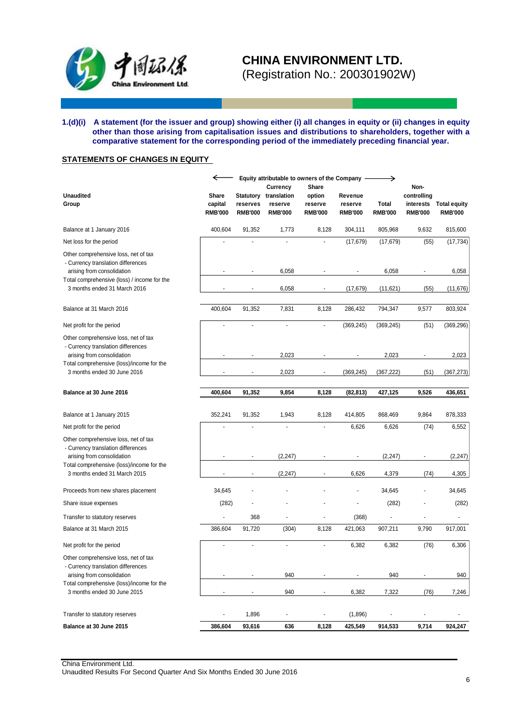

(Registration No.: 200301902W)

#### **1.(d)(i) A statement (for the issuer and group) showing either (i) all changes in equity or (ii) changes in equity other than those arising from capitalisation issues and distributions to shareholders, together with a comparative statement for the corresponding period of the immediately preceding financial year.**

## **STATEMENTS OF CHANGES IN EQUITY**

|                                                                                                                                                         | ←                                  |                            | Equity attributable to owners of the Company<br>Currency | Share                               |                                      | →                       | Non-                                       |                                       |
|---------------------------------------------------------------------------------------------------------------------------------------------------------|------------------------------------|----------------------------|----------------------------------------------------------|-------------------------------------|--------------------------------------|-------------------------|--------------------------------------------|---------------------------------------|
| <b>Unaudited</b><br>Group                                                                                                                               | Share<br>capital<br><b>RMB'000</b> | reserves<br><b>RMB'000</b> | Statutory translation<br>reserve<br><b>RMB'000</b>       | option<br>reserve<br><b>RMB'000</b> | Revenue<br>reserve<br><b>RMB'000</b> | Total<br><b>RMB'000</b> | controlling<br>interests<br><b>RMB'000</b> | <b>Total equity</b><br><b>RMB'000</b> |
| Balance at 1 January 2016                                                                                                                               | 400,604                            | 91,352                     | 1,773                                                    | 8,128                               | 304,111                              | 805,968                 | 9,632                                      | 815,600                               |
| Net loss for the period                                                                                                                                 |                                    |                            | ÷,                                                       |                                     | (17, 679)                            | (17, 679)               | (55)                                       | (17, 734)                             |
| Other comprehensive loss, net of tax<br>- Currency translation differences<br>arising from consolidation<br>Total comprehensive (loss) / income for the |                                    |                            | 6,058                                                    |                                     |                                      | 6,058                   |                                            | 6,058                                 |
| 3 months ended 31 March 2016                                                                                                                            |                                    |                            | 6,058                                                    |                                     | (17, 679)                            | (11,621)                | (55)                                       | (11, 676)                             |
| Balance at 31 March 2016                                                                                                                                | 400,604                            | 91,352                     | 7,831                                                    | 8,128                               | 286,432                              | 794,347                 | 9,577                                      | 803,924                               |
| Net profit for the period                                                                                                                               | ٠                                  | L.                         | $\overline{a}$                                           | $\overline{a}$                      | (369, 245)                           | (369, 245)              | (51)                                       | (369, 296)                            |
| Other comprehensive loss, net of tax<br>- Currency translation differences<br>arising from consolidation                                                |                                    |                            | 2,023                                                    |                                     |                                      | 2,023                   |                                            | 2,023                                 |
| Total comprehensive (loss)/income for the<br>3 months ended 30 June 2016                                                                                |                                    |                            | 2,023                                                    | $\overline{\phantom{a}}$            | (369, 245)                           | (367, 222)              | (51)                                       | (367, 273)                            |
| Balance at 30 June 2016                                                                                                                                 | 400,604                            | 91,352                     | 9,854                                                    | 8,128                               | (82, 813)                            | 427,125                 | 9,526                                      | 436,651                               |
|                                                                                                                                                         |                                    |                            |                                                          |                                     |                                      |                         |                                            |                                       |
| Balance at 1 January 2015                                                                                                                               | 352,241                            | 91,352                     | 1,943                                                    | 8,128                               | 414,805                              | 868,469                 | 9,864                                      | 878,333                               |
| Net profit for the period                                                                                                                               | L,                                 |                            | $\overline{a}$                                           |                                     | 6,626                                | 6,626                   | (74)                                       | 6,552                                 |
| Other comprehensive loss, net of tax<br>- Currency translation differences<br>arising from consolidation                                                |                                    |                            | (2, 247)                                                 |                                     |                                      | (2, 247)                |                                            | (2, 247)                              |
| Total comprehensive (loss)/income for the                                                                                                               |                                    |                            |                                                          |                                     |                                      |                         |                                            |                                       |
| 3 months ended 31 March 2015                                                                                                                            |                                    | ÷,                         | (2, 247)                                                 |                                     | 6,626                                | 4,379                   | (74)                                       | 4,305                                 |
| Proceeds from new shares placement                                                                                                                      | 34,645                             |                            |                                                          |                                     |                                      | 34,645                  | $\overline{\phantom{a}}$                   | 34,645                                |
| Share issue expenses                                                                                                                                    | (282)                              |                            |                                                          |                                     |                                      | (282)                   |                                            | (282)                                 |
| Transfer to statutory reserves                                                                                                                          | Ĭ.                                 | 368                        | $\blacksquare$                                           |                                     | (368)                                | $\overline{a}$          | ÷,                                         | $\overline{\phantom{a}}$              |
| Balance at 31 March 2015                                                                                                                                | 386,604                            | 91,720                     | (304)                                                    | 8,128                               | 421,063                              | 907,211                 | 9,790                                      | 917,001                               |
| Net profit for the period                                                                                                                               |                                    |                            | ÷,                                                       |                                     | 6,382                                | 6,382                   | (76)                                       | 6,306                                 |
| Other comprehensive loss, net of tax<br>- Currency translation differences<br>arising from consolidation                                                |                                    |                            | 940                                                      |                                     |                                      | 940                     |                                            | 940                                   |
| Total comprehensive (loss)/income for the<br>3 months ended 30 June 2015                                                                                |                                    |                            | 940                                                      |                                     | 6,382                                | 7,322                   | (76)                                       | 7,246                                 |
| Transfer to statutory reserves                                                                                                                          | $\overline{\phantom{a}}$           | 1,896                      | -                                                        |                                     | (1,896)                              |                         | $\overline{\phantom{a}}$                   |                                       |
| Balance at 30 June 2015                                                                                                                                 | 386,604                            | 93,616                     | 636                                                      | 8,128                               | 425,549                              | 914,533                 | 9,714                                      | 924,247                               |

China Environment Ltd. Unaudited Results For Second Quarter And Six Months Ended 30 June 2016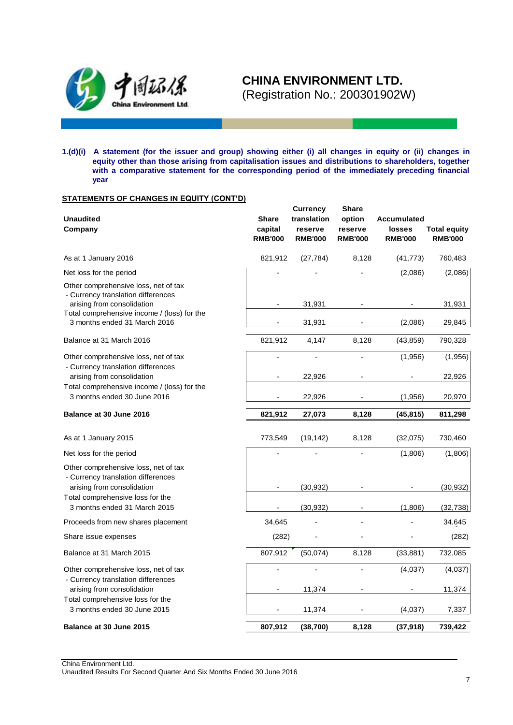

**1.(d)(i) A statement (for the issuer and group) showing either (i) all changes in equity or (ii) changes in equity other than those arising from capitalisation issues and distributions to shareholders, together**  with a comparative statement for the corresponding period of the immediately preceding financial **year**

### **STATEMENTS OF CHANGES IN EQUITY (CONT'D)**

| <b>Unaudited</b><br>Company                                                                                                                                                  | <b>Share</b><br>capital<br><b>RMB'000</b> | <b>Currency</b><br>translation<br>reserve<br><b>RMB'000</b> | <b>Share</b><br>option<br>reserve<br><b>RMB'000</b> | <b>Accumulated</b><br>losses<br><b>RMB'000</b> | <b>Total equity</b><br><b>RMB'000</b> |
|------------------------------------------------------------------------------------------------------------------------------------------------------------------------------|-------------------------------------------|-------------------------------------------------------------|-----------------------------------------------------|------------------------------------------------|---------------------------------------|
| As at 1 January 2016                                                                                                                                                         | 821,912                                   | (27, 784)                                                   | 8,128                                               | (41, 773)                                      | 760,483                               |
| Net loss for the period                                                                                                                                                      |                                           |                                                             |                                                     | (2,086)                                        | (2,086)                               |
| Other comprehensive loss, net of tax<br>- Currency translation differences<br>arising from consolidation<br>Total comprehensive income / (loss) for the                      |                                           | 31,931                                                      |                                                     |                                                | 31,931                                |
| 3 months ended 31 March 2016                                                                                                                                                 |                                           | 31,931                                                      |                                                     | (2,086)                                        | 29,845                                |
| Balance at 31 March 2016                                                                                                                                                     | 821,912                                   | 4,147                                                       | 8,128                                               | (43, 859)                                      | 790,328                               |
| Other comprehensive loss, net of tax<br>- Currency translation differences                                                                                                   |                                           |                                                             |                                                     | (1,956)                                        | (1,956)                               |
| arising from consolidation                                                                                                                                                   |                                           | 22,926                                                      |                                                     |                                                | 22,926                                |
| Total comprehensive income / (loss) for the<br>3 months ended 30 June 2016                                                                                                   |                                           | 22,926                                                      |                                                     | (1,956)                                        | 20,970                                |
| Balance at 30 June 2016                                                                                                                                                      | 821,912                                   | 27,073                                                      | 8,128                                               | (45, 815)                                      | 811,298                               |
| As at 1 January 2015                                                                                                                                                         | 773,549                                   | (19, 142)                                                   | 8,128                                               | (32,075)                                       | 730,460                               |
| Net loss for the period                                                                                                                                                      |                                           |                                                             |                                                     | (1,806)                                        | (1,806)                               |
| Other comprehensive loss, net of tax<br>- Currency translation differences<br>arising from consolidation<br>Total comprehensive loss for the<br>3 months ended 31 March 2015 |                                           | (30, 932)<br>(30, 932)                                      |                                                     | (1,806)                                        | (30, 932)<br>(32, 738)                |
| Proceeds from new shares placement                                                                                                                                           | 34,645                                    |                                                             |                                                     |                                                | 34,645                                |
| Share issue expenses                                                                                                                                                         | (282)                                     |                                                             |                                                     |                                                | (282)                                 |
| Balance at 31 March 2015                                                                                                                                                     | 807,912                                   | (50,074)                                                    | 8,128                                               | (33, 881)                                      | 732,085                               |
| Other comprehensive loss, net of tax<br>- Currency translation differences                                                                                                   |                                           |                                                             |                                                     | (4,037)                                        | (4,037)                               |
| arising from consolidation                                                                                                                                                   |                                           | 11,374                                                      |                                                     |                                                | 11,374                                |
| Total comprehensive loss for the<br>3 months ended 30 June 2015                                                                                                              | $\blacksquare$                            | 11,374                                                      |                                                     | (4,037)                                        | 7,337                                 |
| Balance at 30 June 2015                                                                                                                                                      | 807,912                                   | (38, 700)                                                   | 8,128                                               | (37, 918)                                      | 739,422                               |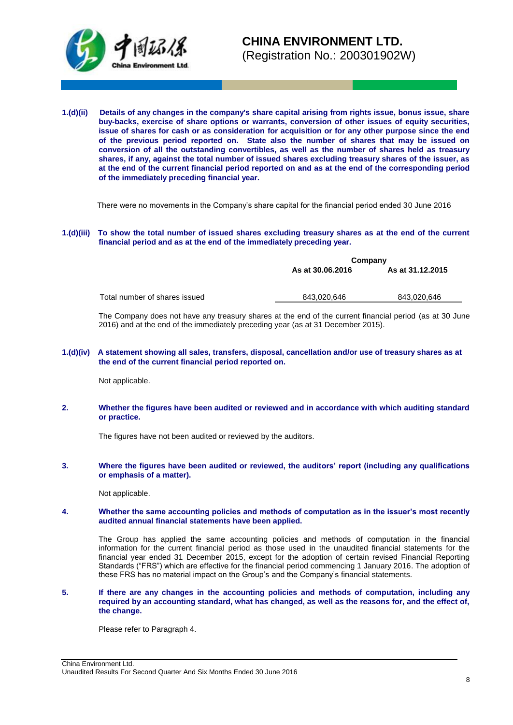

**1.(d)(ii) Details of any changes in the company's share capital arising from rights issue, bonus issue, share buy-backs, exercise of share options or warrants, conversion of other issues of equity securities, issue of shares for cash or as consideration for acquisition or for any other purpose since the end of the previous period reported on. State also the number of shares that may be issued on conversion of all the outstanding convertibles, as well as the number of shares held as treasury shares, if any, against the total number of issued shares excluding treasury shares of the issuer, as at the end of the current financial period reported on and as at the end of the corresponding period of the immediately preceding financial year.**

There were no movements in the Company's share capital for the financial period ended 30 June 2016

#### **1.(d)(iii) To show the total number of issued shares excluding treasury shares as at the end of the current financial period and as at the end of the immediately preceding year.**

|                               |                                      | Company     |  |  |  |
|-------------------------------|--------------------------------------|-------------|--|--|--|
|                               | As at 31.12.2015<br>As at 30.06.2016 |             |  |  |  |
|                               |                                      |             |  |  |  |
|                               |                                      |             |  |  |  |
| Total number of shares issued | 843.020.646                          | 843,020,646 |  |  |  |

The Company does not have any treasury shares at the end of the current financial period (as at 30 June 2016) and at the end of the immediately preceding year (as at 31 December 2015).

#### **1.(d)(iv) A statement showing all sales, transfers, disposal, cancellation and/or use of treasury shares as at the end of the current financial period reported on.**

Not applicable.

#### **2. Whether the figures have been audited or reviewed and in accordance with which auditing standard or practice.**

The figures have not been audited or reviewed by the auditors.

#### **3. Where the figures have been audited or reviewed, the auditors' report (including any qualifications or emphasis of a matter).**

Not applicable.

#### **4. Whether the same accounting policies and methods of computation as in the issuer's most recently audited annual financial statements have been applied.**

The Group has applied the same accounting policies and methods of computation in the financial information for the current financial period as those used in the unaudited financial statements for the financial year ended 31 December 2015, except for the adoption of certain revised Financial Reporting Standards ("FRS") which are effective for the financial period commencing 1 January 2016. The adoption of these FRS has no material impact on the Group's and the Company's financial statements.

#### **5. If there are any changes in the accounting policies and methods of computation, including any required by an accounting standard, what has changed, as well as the reasons for, and the effect of, the change.**

Please refer to Paragraph 4.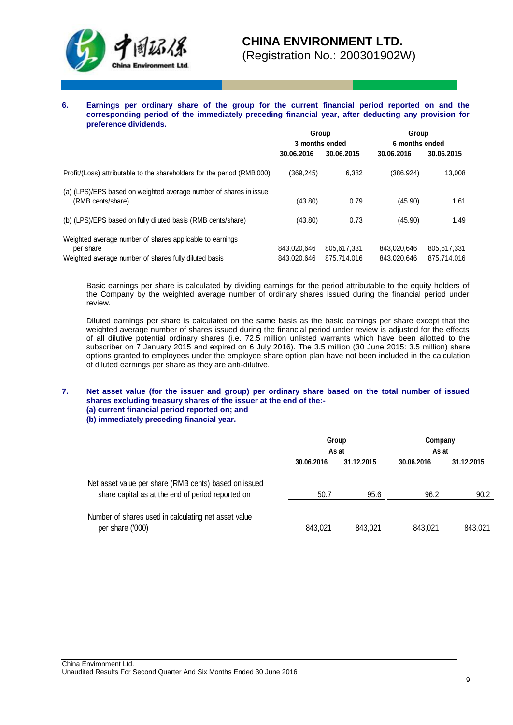

(Registration No.: 200301902W)

**6. Earnings per ordinary share of the group for the current financial period reported on and the corresponding period of the immediately preceding financial year, after deducting any provision for preference dividends.**

|                                                                                                                                | Group<br>3 months ended    |                            | Group<br>6 months ended    |                            |
|--------------------------------------------------------------------------------------------------------------------------------|----------------------------|----------------------------|----------------------------|----------------------------|
|                                                                                                                                |                            |                            |                            |                            |
|                                                                                                                                | 30.06.2016                 | 30.06.2015                 | 30.06.2016                 | 30.06.2015                 |
| Profit/(Loss) attributable to the shareholders for the period (RMB'000)                                                        | (369, 245)                 | 6.382                      | (386,924)                  | 13,008                     |
| (a) (LPS)/EPS based on weighted average number of shares in issue<br>(RMB cents/share)                                         | (43.80)                    | 0.79                       | (45.90)                    | 1.61                       |
| (b) (LPS)/EPS based on fully diluted basis (RMB cents/share)                                                                   | (43.80)                    | 0.73                       | (45.90)                    | 1.49                       |
| Weighted average number of shares applicable to earnings<br>per share<br>Weighted average number of shares fully diluted basis | 843.020.646<br>843.020.646 | 805.617.331<br>875.714.016 | 843.020.646<br>843.020.646 | 805,617,331<br>875.714.016 |

Basic earnings per share is calculated by dividing earnings for the period attributable to the equity holders of the Company by the weighted average number of ordinary shares issued during the financial period under review.

Diluted earnings per share is calculated on the same basis as the basic earnings per share except that the weighted average number of shares issued during the financial period under review is adjusted for the effects of all dilutive potential ordinary shares (i.e. 72.5 million unlisted warrants which have been allotted to the subscriber on 7 January 2015 and expired on 6 July 2016). The 3.5 million (30 June 2015: 3.5 million) share options granted to employees under the employee share option plan have not been included in the calculation of diluted earnings per share as they are anti-dilutive.

**7. Net asset value (for the issuer and group) per ordinary share based on the total number of issued shares excluding treasury shares of the issuer at the end of the:- (a) current financial period reported on; and** 

**(b) immediately preceding financial year.**

|                                                                                                            | Group<br>As at |            | Company<br>As at |            |
|------------------------------------------------------------------------------------------------------------|----------------|------------|------------------|------------|
|                                                                                                            | 30.06.2016     | 31.12.2015 | 30.06.2016       | 31.12.2015 |
| Net asset value per share (RMB cents) based on issued<br>share capital as at the end of period reported on | 50.7           | 95.6       | 96.2             | 90.2       |
| Number of shares used in calculating net asset value<br>per share ('000)                                   | 843,021        | 843,021    | 843,021          | 843,021    |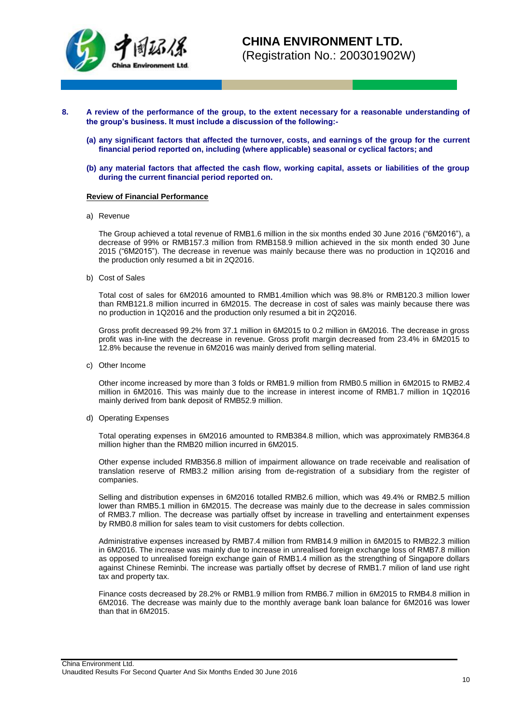

- **8. A review of the performance of the group, to the extent necessary for a reasonable understanding of the group's business. It must include a discussion of the following:-**
	- **(a) any significant factors that affected the turnover, costs, and earnings of the group for the current financial period reported on, including (where applicable) seasonal or cyclical factors; and**
	- **(b) any material factors that affected the cash flow, working capital, assets or liabilities of the group during the current financial period reported on.**

#### **Review of Financial Performance**

a) Revenue

The Group achieved a total revenue of RMB1.6 million in the six months ended 30 June 2016 ("6M2016"), a decrease of 99% or RMB157.3 million from RMB158.9 million achieved in the six month ended 30 June 2015 ("6M2015"). The decrease in revenue was mainly because there was no production in 1Q2016 and the production only resumed a bit in 2Q2016.

b) Cost of Sales

Total cost of sales for 6M2016 amounted to RMB1.4million which was 98.8% or RMB120.3 million lower than RMB121.8 million incurred in 6M2015. The decrease in cost of sales was mainly because there was no production in 1Q2016 and the production only resumed a bit in 2Q2016.

Gross profit decreased 99.2% from 37.1 million in 6M2015 to 0.2 million in 6M2016. The decrease in gross profit was in-line with the decrease in revenue. Gross profit margin decreased from 23.4% in 6M2015 to 12.8% because the revenue in 6M2016 was mainly derived from selling material.

c) Other Income

Other income increased by more than 3 folds or RMB1.9 million from RMB0.5 million in 6M2015 to RMB2.4 million in 6M2016. This was mainly due to the increase in interest income of RMB1.7 million in 1Q2016 mainly derived from bank deposit of RMB52.9 million.

d) Operating Expenses

Total operating expenses in 6M2016 amounted to RMB384.8 million, which was approximately RMB364.8 million higher than the RMB20 million incurred in 6M2015.

Other expense included RMB356.8 million of impairment allowance on trade receivable and realisation of translation reserve of RMB3.2 million arising from de-registration of a subsidiary from the register of companies.

Selling and distribution expenses in 6M2016 totalled RMB2.6 million, which was 49.4% or RMB2.5 million lower than RMB5.1 million in 6M2015. The decrease was mainly due to the decrease in sales commission of RMB3.7 mllion. The decrease was partially offset by increase in travelling and entertainment expenses by RMB0.8 million for sales team to visit customers for debts collection.

Administrative expenses increased by RMB7.4 million from RMB14.9 million in 6M2015 to RMB22.3 million in 6M2016. The increase was mainly due to increase in unrealised foreign exchange loss of RMB7.8 million as opposed to unrealised foreign exchange gain of RMB1.4 million as the strengthing of Singapore dollars against Chinese Reminbi. The increase was partially offset by decrese of RMB1.7 milion of land use right tax and property tax.

Finance costs decreased by 28.2% or RMB1.9 million from RMB6.7 million in 6M2015 to RMB4.8 million in 6M2016. The decrease was mainly due to the monthly average bank loan balance for 6M2016 was lower than that in 6M2015.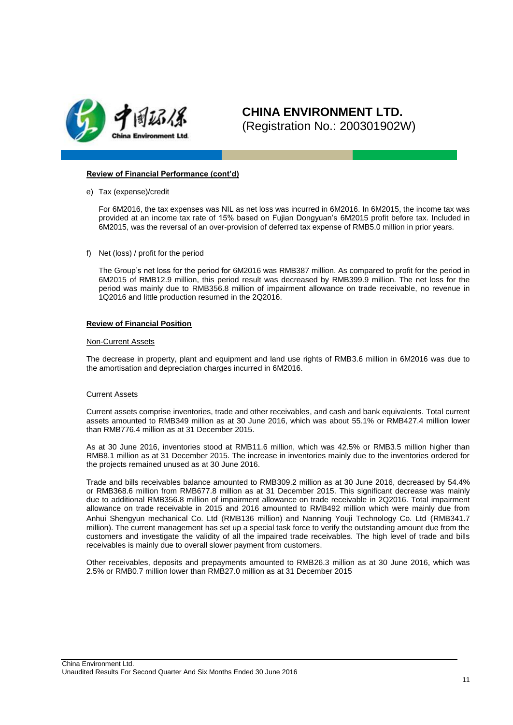

#### **Review of Financial Performance (cont'd)**

e) Tax (expense)/credit

For 6M2016, the tax expenses was NIL as net loss was incurred in 6M2016. In 6M2015, the income tax was provided at an income tax rate of 15% based on Fujian Dongyuan's 6M2015 profit before tax. Included in 6M2015, was the reversal of an over-provision of deferred tax expense of RMB5.0 million in prior years.

f) Net (loss) / profit for the period

The Group's net loss for the period for 6M2016 was RMB387 million. As compared to profit for the period in 6M2015 of RMB12.9 million, this period result was decreased by RMB399.9 million. The net loss for the period was mainly due to RMB356.8 million of impairment allowance on trade receivable, no revenue in 1Q2016 and little production resumed in the 2Q2016.

#### **Review of Financial Position**

#### Non-Current Assets

The decrease in property, plant and equipment and land use rights of RMB3.6 million in 6M2016 was due to the amortisation and depreciation charges incurred in 6M2016.

#### Current Assets

Current assets comprise inventories, trade and other receivables, and cash and bank equivalents. Total current assets amounted to RMB349 million as at 30 June 2016, which was about 55.1% or RMB427.4 million lower than RMB776.4 million as at 31 December 2015.

As at 30 June 2016, inventories stood at RMB11.6 million, which was 42.5% or RMB3.5 million higher than RMB8.1 million as at 31 December 2015. The increase in inventories mainly due to the inventories ordered for the projects remained unused as at 30 June 2016.

Trade and bills receivables balance amounted to RMB309.2 million as at 30 June 2016, decreased by 54.4% or RMB368.6 million from RMB677.8 million as at 31 December 2015. This significant decrease was mainly due to additional RMB356.8 million of impairment allowance on trade receivable in 2Q2016. Total impairment allowance on trade receivable in 2015 and 2016 amounted to RMB492 million which were mainly due from Anhui Shengyun mechanical Co. Ltd (RMB136 million) and Nanning Youji Technology Co. Ltd (RMB341.7 million). The current management has set up a special task force to verify the outstanding amount due from the customers and investigate the validity of all the impaired trade receivables. The high level of trade and bills receivables is mainly due to overall slower payment from customers.

Other receivables, deposits and prepayments amounted to RMB26.3 million as at 30 June 2016, which was 2.5% or RMB0.7 million lower than RMB27.0 million as at 31 December 2015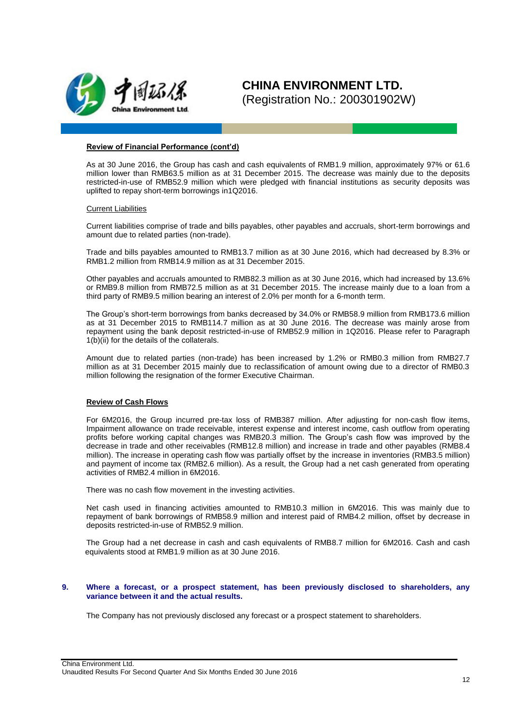

#### **Review of Financial Performance (cont'd)**

As at 30 June 2016, the Group has cash and cash equivalents of RMB1.9 million, approximately 97% or 61.6 million lower than RMB63.5 million as at 31 December 2015. The decrease was mainly due to the deposits restricted-in-use of RMB52.9 million which were pledged with financial institutions as security deposits was uplifted to repay short-term borrowings in1Q2016.

#### Current Liabilities

Current liabilities comprise of trade and bills payables, other payables and accruals, short-term borrowings and amount due to related parties (non-trade).

Trade and bills payables amounted to RMB13.7 million as at 30 June 2016, which had decreased by 8.3% or RMB1.2 million from RMB14.9 million as at 31 December 2015.

Other payables and accruals amounted to RMB82.3 million as at 30 June 2016, which had increased by 13.6% or RMB9.8 million from RMB72.5 million as at 31 December 2015. The increase mainly due to a loan from a third party of RMB9.5 million bearing an interest of 2.0% per month for a 6-month term.

The Group's short-term borrowings from banks decreased by 34.0% or RMB58.9 million from RMB173.6 million as at 31 December 2015 to RMB114.7 million as at 30 June 2016. The decrease was mainly arose from repayment using the bank deposit restricted-in-use of RMB52.9 million in 1Q2016. Please refer to Paragraph 1(b)(ii) for the details of the collaterals.

Amount due to related parties (non-trade) has been increased by 1.2% or RMB0.3 million from RMB27.7 million as at 31 December 2015 mainly due to reclassification of amount owing due to a director of RMB0.3 million following the resignation of the former Executive Chairman.

### **Review of Cash Flows**

For 6M2016, the Group incurred pre-tax loss of RMB387 million. After adjusting for non-cash flow items, Impairment allowance on trade receivable, interest expense and interest income, cash outflow from operating profits before working capital changes was RMB20.3 million. The Group's cash flow was improved by the decrease in trade and other receivables (RMB12.8 million) and increase in trade and other payables (RMB8.4 million). The increase in operating cash flow was partially offset by the increase in inventories (RMB3.5 million) and payment of income tax (RMB2.6 million). As a result, the Group had a net cash generated from operating activities of RMB2.4 million in 6M2016.

There was no cash flow movement in the investing activities.

Net cash used in financing activities amounted to RMB10.3 million in 6M2016. This was mainly due to repayment of bank borrowings of RMB58.9 million and interest paid of RMB4.2 million, offset by decrease in deposits restricted-in-use of RMB52.9 million.

The Group had a net decrease in cash and cash equivalents of RMB8.7 million for 6M2016. Cash and cash equivalents stood at RMB1.9 million as at 30 June 2016.

#### **9. Where a forecast, or a prospect statement, has been previously disclosed to shareholders, any variance between it and the actual results.**

The Company has not previously disclosed any forecast or a prospect statement to shareholders.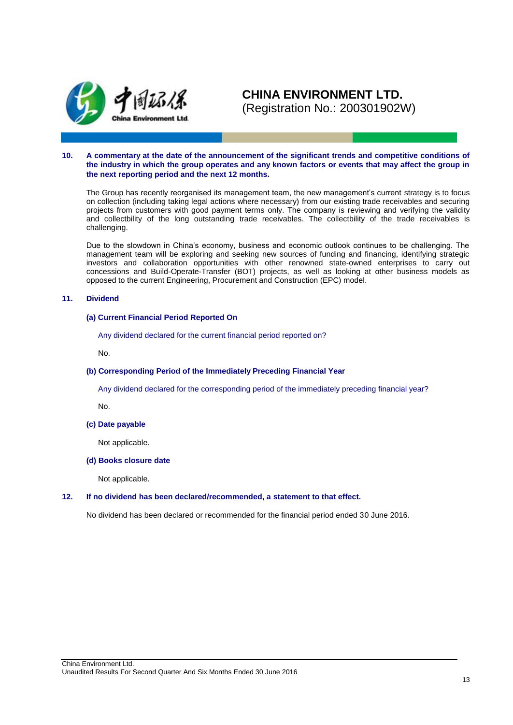

#### **10. A commentary at the date of the announcement of the significant trends and competitive conditions of the industry in which the group operates and any known factors or events that may affect the group in the next reporting period and the next 12 months.**

The Group has recently reorganised its management team, the new management's current strategy is to focus on collection (including taking legal actions where necessary) from our existing trade receivables and securing projects from customers with good payment terms only. The company is reviewing and verifying the validity and collectbility of the long outstanding trade receivables. The collectbility of the trade receivables is challenging.

Due to the slowdown in China's economy, business and economic outlook continues to be challenging. The management team will be exploring and seeking new sources of funding and financing, identifying strategic investors and collaboration opportunities with other renowned state-owned enterprises to carry out concessions and Build-Operate-Transfer (BOT) projects, as well as looking at other business models as opposed to the current Engineering, Procurement and Construction (EPC) model.

#### **11. Dividend**

#### **(a) Current Financial Period Reported On**

Any dividend declared for the current financial period reported on?

No.

#### **(b) Corresponding Period of the Immediately Preceding Financial Year**

Any dividend declared for the corresponding period of the immediately preceding financial year?

No.

#### **(c) Date payable**

Not applicable.

#### **(d) Books closure date**

Not applicable.

#### **12. If no dividend has been declared/recommended, a statement to that effect.**

No dividend has been declared or recommended for the financial period ended 30 June 2016.